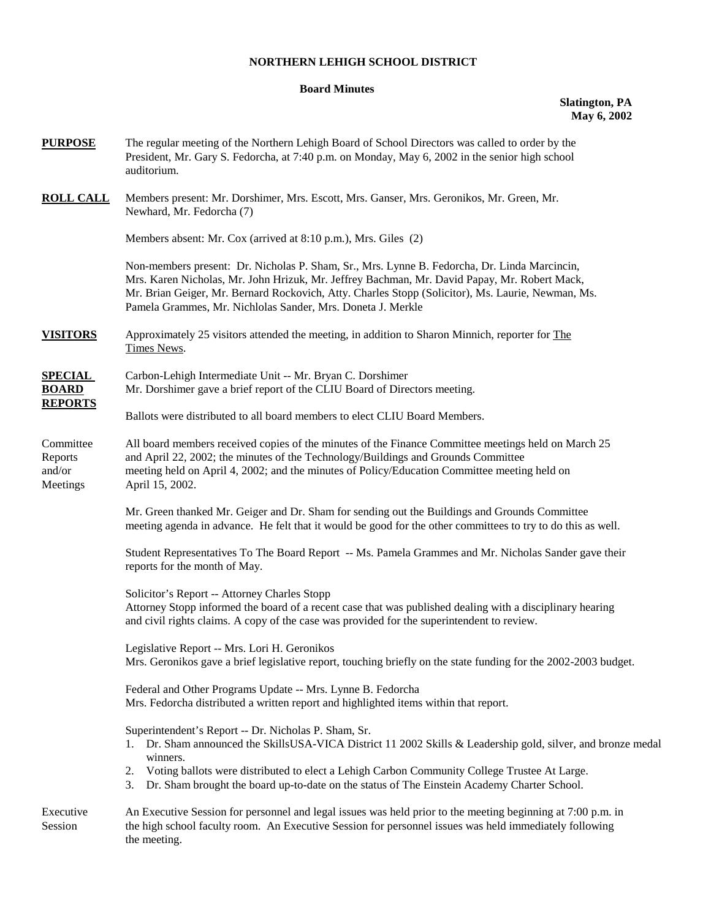# **NORTHERN LEHIGH SCHOOL DISTRICT**

# **Board Minutes**

## **Slatington, PA May 6, 2002**

| <b>PURPOSE</b>                                   | The regular meeting of the Northern Lehigh Board of School Directors was called to order by the<br>President, Mr. Gary S. Fedorcha, at 7:40 p.m. on Monday, May 6, 2002 in the senior high school<br>auditorium.                                                                                                                                                                               |
|--------------------------------------------------|------------------------------------------------------------------------------------------------------------------------------------------------------------------------------------------------------------------------------------------------------------------------------------------------------------------------------------------------------------------------------------------------|
| <b>ROLL CALL</b>                                 | Members present: Mr. Dorshimer, Mrs. Escott, Mrs. Ganser, Mrs. Geronikos, Mr. Green, Mr.<br>Newhard, Mr. Fedorcha (7)                                                                                                                                                                                                                                                                          |
|                                                  | Members absent: Mr. Cox (arrived at 8:10 p.m.), Mrs. Giles (2)                                                                                                                                                                                                                                                                                                                                 |
|                                                  | Non-members present: Dr. Nicholas P. Sham, Sr., Mrs. Lynne B. Fedorcha, Dr. Linda Marcincin,<br>Mrs. Karen Nicholas, Mr. John Hrizuk, Mr. Jeffrey Bachman, Mr. David Papay, Mr. Robert Mack,<br>Mr. Brian Geiger, Mr. Bernard Rockovich, Atty. Charles Stopp (Solicitor), Ms. Laurie, Newman, Ms.<br>Pamela Grammes, Mr. Nichlolas Sander, Mrs. Doneta J. Merkle                               |
| <b>VISITORS</b>                                  | Approximately 25 visitors attended the meeting, in addition to Sharon Minnich, reporter for The<br>Times News.                                                                                                                                                                                                                                                                                 |
| <b>SPECIAL</b><br><b>BOARD</b><br><b>REPORTS</b> | Carbon-Lehigh Intermediate Unit -- Mr. Bryan C. Dorshimer<br>Mr. Dorshimer gave a brief report of the CLIU Board of Directors meeting.                                                                                                                                                                                                                                                         |
|                                                  | Ballots were distributed to all board members to elect CLIU Board Members.                                                                                                                                                                                                                                                                                                                     |
| Committee<br>Reports<br>and/or<br>Meetings       | All board members received copies of the minutes of the Finance Committee meetings held on March 25<br>and April 22, 2002; the minutes of the Technology/Buildings and Grounds Committee<br>meeting held on April 4, 2002; and the minutes of Policy/Education Committee meeting held on<br>April 15, 2002.                                                                                    |
|                                                  | Mr. Green thanked Mr. Geiger and Dr. Sham for sending out the Buildings and Grounds Committee<br>meeting agenda in advance. He felt that it would be good for the other committees to try to do this as well.                                                                                                                                                                                  |
|                                                  | Student Representatives To The Board Report -- Ms. Pamela Grammes and Mr. Nicholas Sander gave their<br>reports for the month of May.                                                                                                                                                                                                                                                          |
|                                                  | Solicitor's Report -- Attorney Charles Stopp<br>Attorney Stopp informed the board of a recent case that was published dealing with a disciplinary hearing<br>and civil rights claims. A copy of the case was provided for the superintendent to review.                                                                                                                                        |
|                                                  | Legislative Report -- Mrs. Lori H. Geronikos<br>Mrs. Geronikos gave a brief legislative report, touching briefly on the state funding for the 2002-2003 budget.                                                                                                                                                                                                                                |
|                                                  | Federal and Other Programs Update -- Mrs. Lynne B. Fedorcha<br>Mrs. Fedorcha distributed a written report and highlighted items within that report.                                                                                                                                                                                                                                            |
|                                                  | Superintendent's Report -- Dr. Nicholas P. Sham, Sr.<br>Dr. Sham announced the SkillsUSA-VICA District 11 2002 Skills & Leadership gold, silver, and bronze medal<br>1.<br>winners.<br>Voting ballots were distributed to elect a Lehigh Carbon Community College Trustee At Large.<br>2.<br>Dr. Sham brought the board up-to-date on the status of The Einstein Academy Charter School.<br>3. |
| Executive<br>Session                             | An Executive Session for personnel and legal issues was held prior to the meeting beginning at 7:00 p.m. in<br>the high school faculty room. An Executive Session for personnel issues was held immediately following<br>the meeting.                                                                                                                                                          |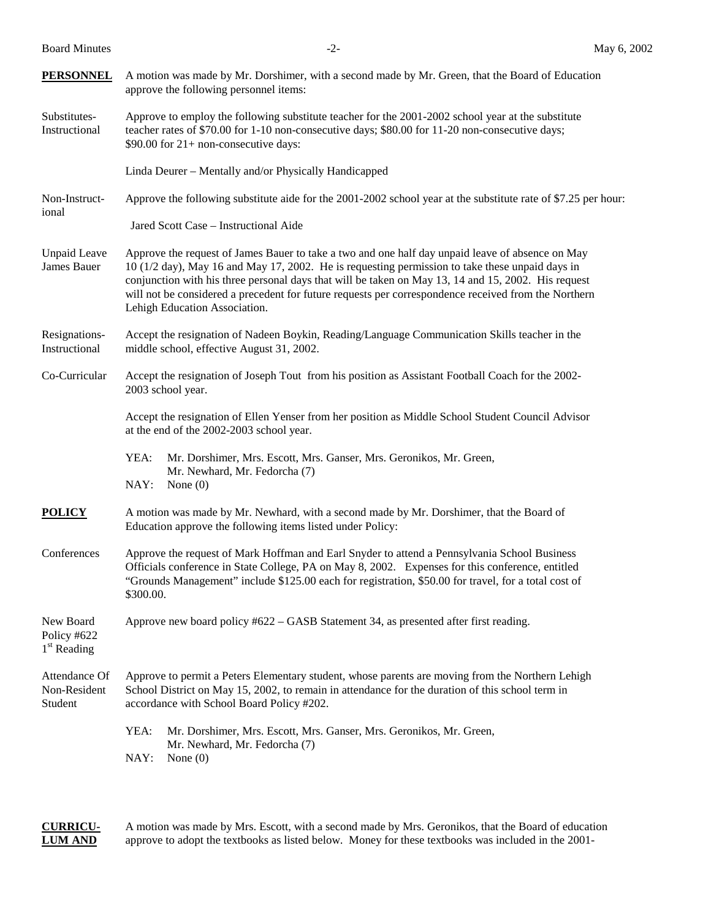Board Minutes  $-2$ -

| <b>PERSONNEL</b>                          | A motion was made by Mr. Dorshimer, with a second made by Mr. Green, that the Board of Education<br>approve the following personnel items:                                                                                                                                                                                                                                                                                                          |  |  |
|-------------------------------------------|-----------------------------------------------------------------------------------------------------------------------------------------------------------------------------------------------------------------------------------------------------------------------------------------------------------------------------------------------------------------------------------------------------------------------------------------------------|--|--|
| Substitutes-<br>Instructional             | Approve to employ the following substitute teacher for the 2001-2002 school year at the substitute<br>teacher rates of \$70.00 for 1-10 non-consecutive days; \$80.00 for 11-20 non-consecutive days;<br>\$90.00 for $21+$ non-consecutive days:                                                                                                                                                                                                    |  |  |
|                                           | Linda Deurer - Mentally and/or Physically Handicapped                                                                                                                                                                                                                                                                                                                                                                                               |  |  |
| Non-Instruct-<br>ional                    | Approve the following substitute aide for the 2001-2002 school year at the substitute rate of \$7.25 per hour:                                                                                                                                                                                                                                                                                                                                      |  |  |
|                                           | Jared Scott Case - Instructional Aide                                                                                                                                                                                                                                                                                                                                                                                                               |  |  |
| <b>Unpaid Leave</b><br>James Bauer        | Approve the request of James Bauer to take a two and one half day unpaid leave of absence on May<br>10 (1/2 day), May 16 and May 17, 2002. He is requesting permission to take these unpaid days in<br>conjunction with his three personal days that will be taken on May 13, 14 and 15, 2002. His request<br>will not be considered a precedent for future requests per correspondence received from the Northern<br>Lehigh Education Association. |  |  |
| Resignations-<br>Instructional            | Accept the resignation of Nadeen Boykin, Reading/Language Communication Skills teacher in the<br>middle school, effective August 31, 2002.                                                                                                                                                                                                                                                                                                          |  |  |
| Co-Curricular                             | Accept the resignation of Joseph Tout from his position as Assistant Football Coach for the 2002-<br>2003 school year.                                                                                                                                                                                                                                                                                                                              |  |  |
|                                           | Accept the resignation of Ellen Yenser from her position as Middle School Student Council Advisor<br>at the end of the 2002-2003 school year.                                                                                                                                                                                                                                                                                                       |  |  |
|                                           | YEA:<br>Mr. Dorshimer, Mrs. Escott, Mrs. Ganser, Mrs. Geronikos, Mr. Green,<br>Mr. Newhard, Mr. Fedorcha (7)<br>NAY:<br>None $(0)$                                                                                                                                                                                                                                                                                                                  |  |  |
| <b>POLICY</b>                             | A motion was made by Mr. Newhard, with a second made by Mr. Dorshimer, that the Board of<br>Education approve the following items listed under Policy:                                                                                                                                                                                                                                                                                              |  |  |
| Conferences                               | Approve the request of Mark Hoffman and Earl Snyder to attend a Pennsylvania School Business<br>Officials conference in State College, PA on May 8, 2002. Expenses for this conference, entitled<br>"Grounds Management" include \$125.00 each for registration, \$50.00 for travel, for a total cost of<br>\$300.00.                                                                                                                               |  |  |
| New Board<br>Policy #622<br>$1st$ Reading | Approve new board policy #622 - GASB Statement 34, as presented after first reading.                                                                                                                                                                                                                                                                                                                                                                |  |  |
| Attendance Of<br>Non-Resident<br>Student  | Approve to permit a Peters Elementary student, whose parents are moving from the Northern Lehigh<br>School District on May 15, 2002, to remain in attendance for the duration of this school term in<br>accordance with School Board Policy #202.                                                                                                                                                                                                   |  |  |
|                                           | YEA:<br>Mr. Dorshimer, Mrs. Escott, Mrs. Ganser, Mrs. Geronikos, Mr. Green,<br>Mr. Newhard, Mr. Fedorcha (7)<br>NAY:<br>None $(0)$                                                                                                                                                                                                                                                                                                                  |  |  |

**CURRICU-** A motion was made by Mrs. Escott, with a second made by Mrs. Geronikos, that the Board of education **LUM AND** approve to adopt the textbooks as listed below. Money for these textbooks was included in the 2001-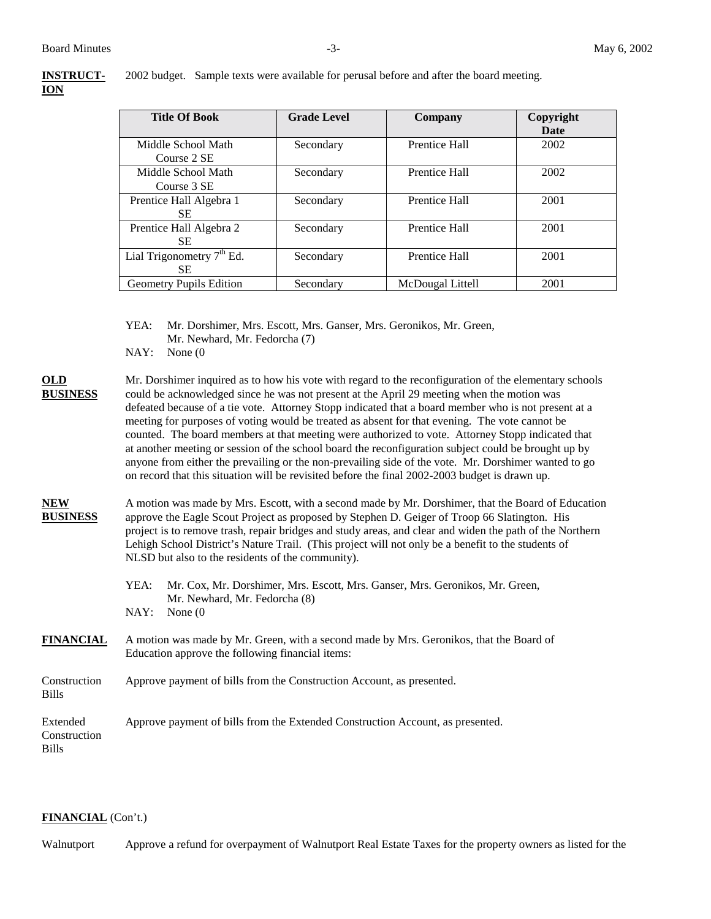| <b>INSTRUCT-</b> | 200 <sup>°</sup> |
|------------------|------------------|
| ЮN               |                  |

2 budget. Sample texts were available for perusal before and after the board meeting.

| <b>Title Of Book</b>               | <b>Grade Level</b> | Company          | Copyright<br>Date |
|------------------------------------|--------------------|------------------|-------------------|
| Middle School Math<br>Course 2 SE  | Secondary          | Prentice Hall    | 2002              |
| Middle School Math<br>Course 3 SE  | Secondary          | Prentice Hall    | 2002              |
| Prentice Hall Algebra 1<br>SE.     | Secondary          | Prentice Hall    | 2001              |
| Prentice Hall Algebra 2<br>SE.     | Secondary          | Prentice Hall    | 2001              |
| Lial Trigonometry $7th$ Ed.<br>SE. | Secondary          | Prentice Hall    | 2001              |
| <b>Geometry Pupils Edition</b>     | Secondary          | McDougal Littell | 2001              |

YEA: Mr. Dorshimer, Mrs. Escott, Mrs. Ganser, Mrs. Geronikos, Mr. Green, Mr. Newhard, Mr. Fedorcha (7)

NAY: None (0

**OLD** Mr. Dorshimer inquired as to how his vote with regard to the reconfiguration of the elementary schools **BUSINESS** could be acknowledged since he was not present at the April 29 meeting when the motion was defeated because of a tie vote. Attorney Stopp indicated that a board member who is not present at a meeting for purposes of voting would be treated as absent for that evening. The vote cannot be counted. The board members at that meeting were authorized to vote. Attorney Stopp indicated that at another meeting or session of the school board the reconfiguration subject could be brought up by anyone from either the prevailing or the non-prevailing side of the vote. Mr. Dorshimer wanted to go on record that this situation will be revisited before the final 2002-2003 budget is drawn up.

## **NEW** A motion was made by Mrs. Escott, with a second made by Mr. Dorshimer, that the Board of Education **BUSINESS** approve the Eagle Scout Project as proposed by Stephen D. Geiger of Troop 66 Slatington. His project is to remove trash, repair bridges and study areas, and clear and widen the path of the Northern Lehigh School District's Nature Trail. (This project will not only be a benefit to the students of NLSD but also to the residents of the community).

- YEA: Mr. Cox, Mr. Dorshimer, Mrs. Escott, Mrs. Ganser, Mrs. Geronikos, Mr. Green, Mr. Newhard, Mr. Fedorcha (8) NAY: None (0
- **FINANCIAL** A motion was made by Mr. Green, with a second made by Mrs. Geronikos, that the Board of Education approve the following financial items:

Construction Approve payment of bills from the Construction Account, as presented. Bills

Extended Approve payment of bills from the Extended Construction Account, as presented. Construction Bills

#### **FINANCIAL** (Con't.)

Walnutport Approve a refund for overpayment of Walnutport Real Estate Taxes for the property owners as listed for the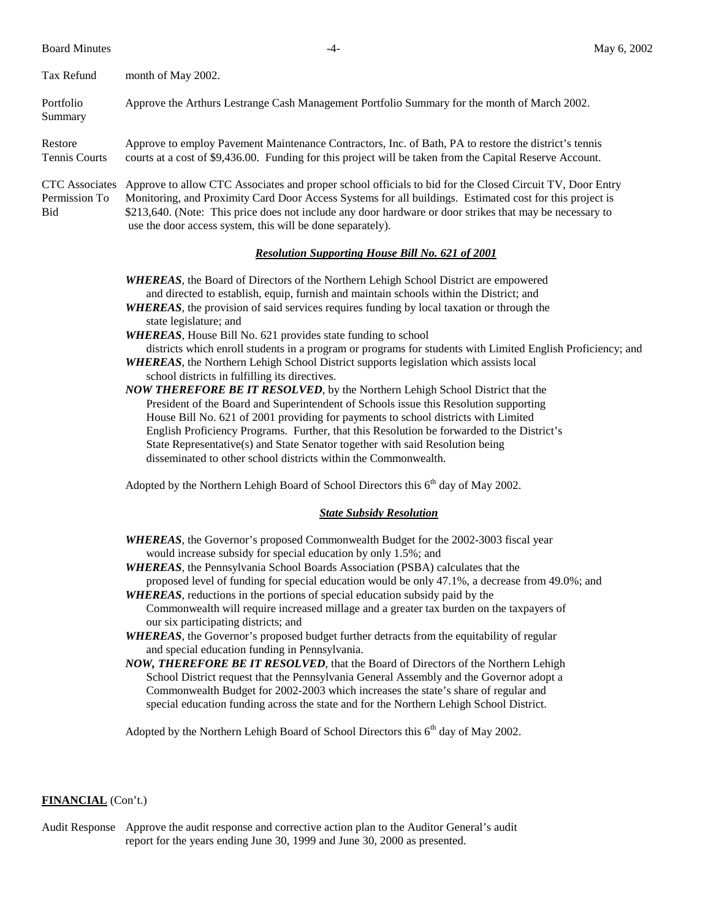Board Minutes **May 6, 2002** 

| Tax Refund                                    | month of May 2002.                                                                                                                                                                                                                                                                                                                                                                             |
|-----------------------------------------------|------------------------------------------------------------------------------------------------------------------------------------------------------------------------------------------------------------------------------------------------------------------------------------------------------------------------------------------------------------------------------------------------|
| Portfolio<br>Summary                          | Approve the Arthurs Lestrange Cash Management Portfolio Summary for the month of March 2002.                                                                                                                                                                                                                                                                                                   |
| Restore<br><b>Tennis Courts</b>               | Approve to employ Pavement Maintenance Contractors, Inc. of Bath, PA to restore the district's tennis<br>courts at a cost of \$9,436.00. Funding for this project will be taken from the Capital Reserve Account.                                                                                                                                                                              |
| <b>CTC</b> Associates<br>Permission To<br>Bid | Approve to allow CTC Associates and proper school officials to bid for the Closed Circuit TV, Door Entry<br>Monitoring, and Proximity Card Door Access Systems for all buildings. Estimated cost for this project is<br>\$213,640. (Note: This price does not include any door hardware or door strikes that may be necessary to<br>use the door access system, this will be done separately). |
|                                               | <b>Resolution Supporting House Bill No. 621 of 2001</b>                                                                                                                                                                                                                                                                                                                                        |
|                                               | <b>WHEREAS</b> , the Board of Directors of the Northern Lehigh School District are empowered                                                                                                                                                                                                                                                                                                   |

 and directed to establish, equip, furnish and maintain schools within the District; and *WHEREAS*, the provision of said services requires funding by local taxation or through the

state legislature; and

*WHEREAS*, House Bill No. 621 provides state funding to school

districts which enroll students in a program or programs for students with Limited English Proficiency; and *WHEREAS*, the Northern Lehigh School District supports legislation which assists local

school districts in fulfilling its directives.

*NOW THEREFORE BE IT RESOLVED*, by the Northern Lehigh School District that the President of the Board and Superintendent of Schools issue this Resolution supporting House Bill No. 621 of 2001 providing for payments to school districts with Limited English Proficiency Programs. Further, that this Resolution be forwarded to the District's State Representative(s) and State Senator together with said Resolution being disseminated to other school districts within the Commonwealth.

Adopted by the Northern Lehigh Board of School Directors this 6<sup>th</sup> day of May 2002.

## *State Subsidy Resolution*

*WHEREAS*, the Governor's proposed Commonwealth Budget for the 2002-3003 fiscal year would increase subsidy for special education by only 1.5%; and

*WHEREAS*, the Pennsylvania School Boards Association (PSBA) calculates that the proposed level of funding for special education would be only 47.1%, a decrease from 49.0%; and

*WHEREAS*, reductions in the portions of special education subsidy paid by the Commonwealth will require increased millage and a greater tax burden on the taxpayers of our six participating districts; and

*WHEREAS*, the Governor's proposed budget further detracts from the equitability of regular and special education funding in Pennsylvania.

*NOW, THEREFORE BE IT RESOLVED*, that the Board of Directors of the Northern Lehigh School District request that the Pennsylvania General Assembly and the Governor adopt a Commonwealth Budget for 2002-2003 which increases the state's share of regular and special education funding across the state and for the Northern Lehigh School District.

Adopted by the Northern Lehigh Board of School Directors this  $6<sup>th</sup>$  day of May 2002.

#### **FINANCIAL** (Con't.)

Audit Response Approve the audit response and corrective action plan to the Auditor General's audit report for the years ending June 30, 1999 and June 30, 2000 as presented.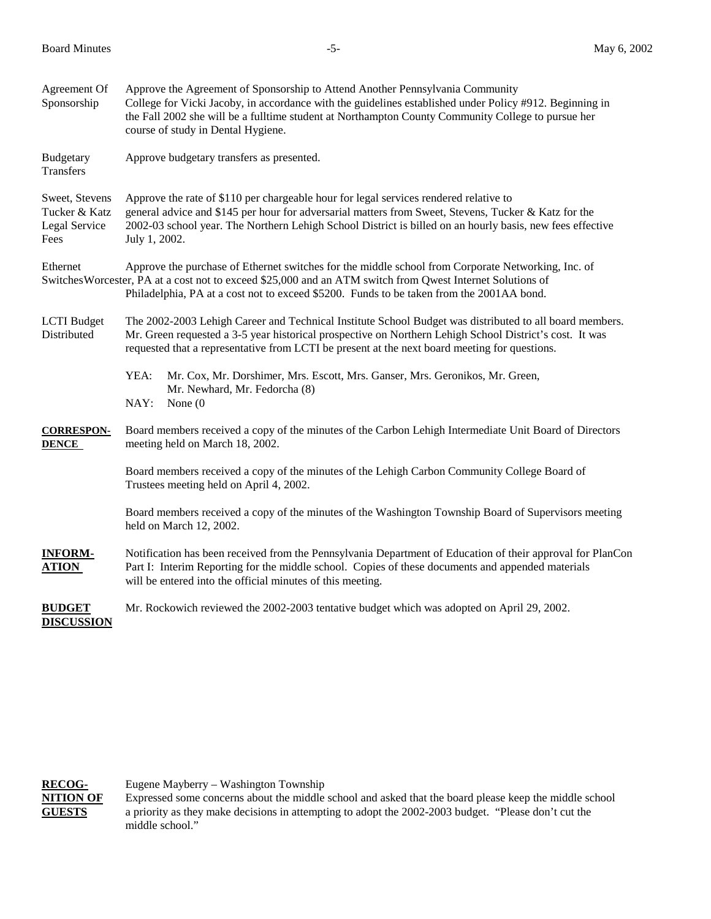| Agreement Of<br>Sponsorship                              | Approve the Agreement of Sponsorship to Attend Another Pennsylvania Community<br>College for Vicki Jacoby, in accordance with the guidelines established under Policy #912. Beginning in<br>the Fall 2002 she will be a fulltime student at Northampton County Community College to pursue her<br>course of study in Dental Hygiene. |  |
|----------------------------------------------------------|--------------------------------------------------------------------------------------------------------------------------------------------------------------------------------------------------------------------------------------------------------------------------------------------------------------------------------------|--|
| Budgetary<br>Transfers                                   | Approve budgetary transfers as presented.                                                                                                                                                                                                                                                                                            |  |
| Sweet, Stevens<br>Tucker & Katz<br>Legal Service<br>Fees | Approve the rate of \$110 per chargeable hour for legal services rendered relative to<br>general advice and \$145 per hour for adversarial matters from Sweet, Stevens, Tucker & Katz for the<br>2002-03 school year. The Northern Lehigh School District is billed on an hourly basis, new fees effective<br>July 1, 2002.          |  |
| Ethernet                                                 | Approve the purchase of Ethernet switches for the middle school from Corporate Networking, Inc. of<br>Switches Worcester, PA at a cost not to exceed \$25,000 and an ATM switch from Qwest Internet Solutions of<br>Philadelphia, PA at a cost not to exceed \$5200. Funds to be taken from the 2001AA bond.                         |  |
| <b>LCTI</b> Budget<br>Distributed                        | The 2002-2003 Lehigh Career and Technical Institute School Budget was distributed to all board members.<br>Mr. Green requested a 3-5 year historical prospective on Northern Lehigh School District's cost. It was<br>requested that a representative from LCTI be present at the next board meeting for questions.                  |  |
|                                                          | YEA:<br>Mr. Cox, Mr. Dorshimer, Mrs. Escott, Mrs. Ganser, Mrs. Geronikos, Mr. Green,<br>Mr. Newhard, Mr. Fedorcha (8)<br>NAY:<br>None $(0)$                                                                                                                                                                                          |  |
| <b>CORRESPON-</b><br><b>DENCE</b>                        | Board members received a copy of the minutes of the Carbon Lehigh Intermediate Unit Board of Directors<br>meeting held on March 18, 2002.                                                                                                                                                                                            |  |
|                                                          | Board members received a copy of the minutes of the Lehigh Carbon Community College Board of<br>Trustees meeting held on April 4, 2002.                                                                                                                                                                                              |  |
|                                                          | Board members received a copy of the minutes of the Washington Township Board of Supervisors meeting<br>held on March 12, 2002.                                                                                                                                                                                                      |  |
| <b>INFORM-</b><br><b>ATION</b>                           | Notification has been received from the Pennsylvania Department of Education of their approval for PlanCon<br>Part I: Interim Reporting for the middle school. Copies of these documents and appended materials<br>will be entered into the official minutes of this meeting.                                                        |  |
| <b>BUDGET</b><br><b>DISCUSSION</b>                       | Mr. Rockowich reviewed the 2002-2003 tentative budget which was adopted on April 29, 2002.                                                                                                                                                                                                                                           |  |

**RECOG-** Eugene Mayberry – Washington Township<br>**NITION OF** Expressed some concerns about the middle Expressed some concerns about the middle school and asked that the board please keep the middle school **GUESTS** a priority as they make decisions in attempting to adopt the 2002-2003 budget. "Please don't cut the middle school."